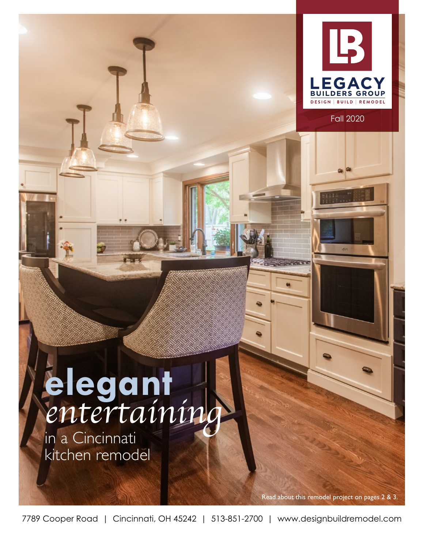

Fall 2020

# **elegant** *entertaining*

in a Cincinnati kitchen remodel

Read about this remodel project on pages 2 & 3.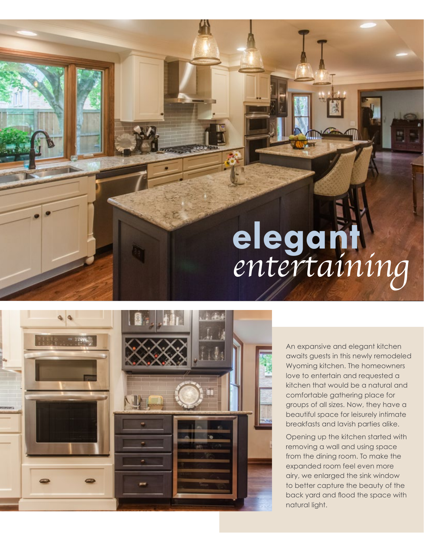## **elegant** *entertaining*



An expansive and elegant kitchen awaits guests in this newly remodeled Wyoming kitchen. The homeowners love to entertain and requested a kitchen that would be a natural and comfortable gathering place for groups of all sizes. Now, they have a beautiful space for leisurely intimate breakfasts and lavish parties alike.

Opening up the kitchen started with removing a wall and using space from the dining room. To make the expanded room feel even more airy, we enlarged the sink window to better capture the beauty of the back yard and flood the space with natural light.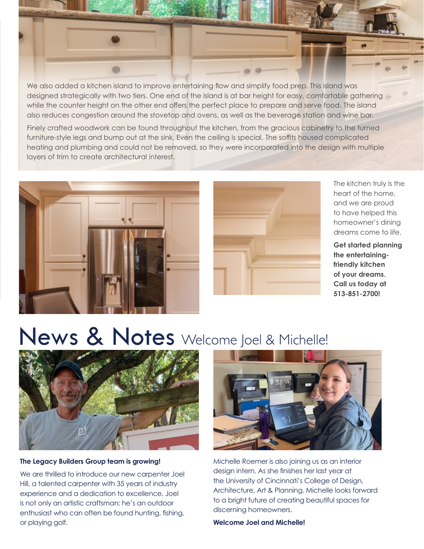

We also added a kitchen island to improve entertaining flow and simplify food prep. This island was designed strategically with two tiers. One end of the island is at bar height for easy, comfortable gathering while the counter height on the other end offers the perfect place to prepare and serve food. The island also reduces congestion around the stovetop and ovens, as well as the beverage station and wine bar.

Finely crafted woodwork can be found throughout the kitchen, from the gracious cabinetry to the turned furniture-style legs and bump out at the sink. Even the ceiling is special. The soffits housed complicated heating and plumbing and could not be removed, so they were incorporated into the design with multiple layers of trim to create architectural interest.





The kitchen truly is the heart of the home, and we are proud to have helped this homeowner's dining dreams come to life.

**Get started planning the entertainingfriendly kitchen of your dreams. Call us today at 513-851-2700!**

## News & Notes Welcome Joel & Michelle!



#### **The Legacy Builders Group team is growing!**

We are thrilled to introduce our new carpenter Joel Hill, a talented carpenter with 35 years of industry experience and a dedication to excellence. Joel is not only an artistic craftsman; he's an outdoor enthusiast who can often be found hunting, fishing, or playing golf.



Michelle Roemer is also joining us as an interior design intern. As she finishes her last year at the University of Cincinnati's College of Design, Architecture, Art & Planning, Michelle looks forward to a bright future of creating beautiful spaces for discerning homeowners.

**Welcome Joel and Michelle!**